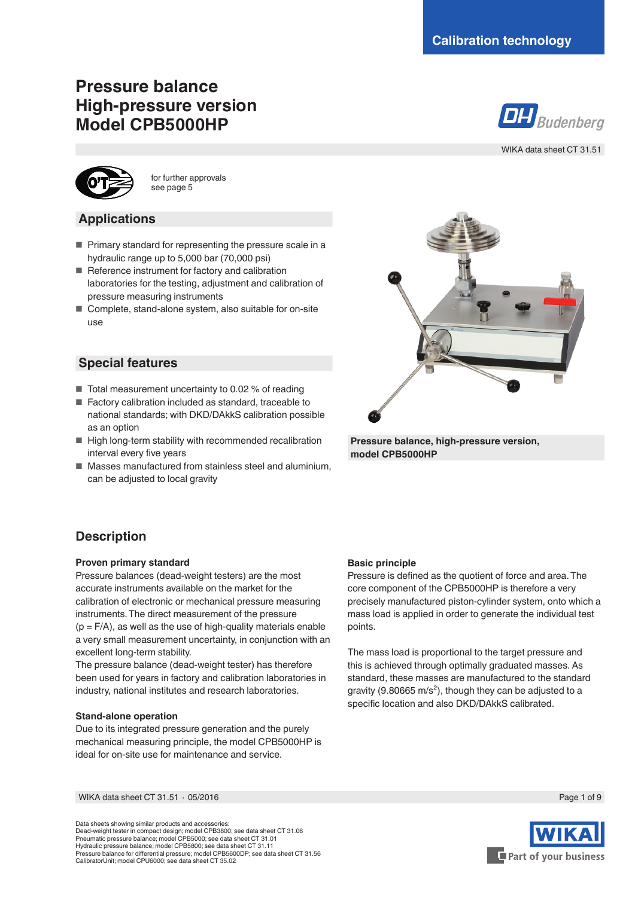# **Pressure balance High-pressure version Model CPB5000HP**



WIKA data sheet CT 31.51



for further approvals see page 5

### **Applications**

- Primary standard for representing the pressure scale in a hydraulic range up to 5,000 bar (70,000 psi)
- Reference instrument for factory and calibration laboratories for the testing, adjustment and calibration of pressure measuring instruments
- Complete, stand-alone system, also suitable for on-site use

### **Special features**

- Total measurement uncertainty to 0.02 % of reading
- Factory calibration included as standard, traceable to national standards; with DKD/DAkkS calibration possible as an option
- High long-term stability with recommended recalibration interval every five years
- Masses manufactured from stainless steel and aluminium, can be adjusted to local gravity



**Pressure balance, high-pressure version, model CPB5000HP**

## **Description**

### **Proven primary standard**

Pressure balances (dead-weight testers) are the most accurate instruments available on the market for the calibration of electronic or mechanical pressure measuring instruments. The direct measurement of the pressure  $(p = F/A)$ , as well as the use of high-quality materials enable a very small measurement uncertainty, in conjunction with an excellent long-term stability.

The pressure balance (dead-weight tester) has therefore been used for years in factory and calibration laboratories in industry, national institutes and research laboratories.

#### **Stand-alone operation**

Due to its integrated pressure generation and the purely mechanical measuring principle, the model CPB5000HP is ideal for on-site use for maintenance and service.

### **Basic principle**

Pressure is defined as the quotient of force and area. The core component of the CPB5000HP is therefore a very precisely manufactured piston-cylinder system, onto which a mass load is applied in order to generate the individual test points.

The mass load is proportional to the target pressure and this is achieved through optimally graduated masses. As standard, these masses are manufactured to the standard gravity (9.80665 m/s<sup>2</sup>), though they can be adjusted to a specific location and also DKD/DAkkS calibrated.

WIKA data sheet CT 31.51 ⋅ 05/2016 Page 1 of 9

Data sheets showing similar products and accessories: Dead-weight tester in compact design; model CPB3800; see data sheet CT 31.06 Pneumatic pressure balance; model CPB5000; see data sheet CT 31.01 Hydraulic pressure balance; model CPB5800; see data sheet CT 31.11 Pressure balance for differential pressure; model CPB5600DP; see data sheet CT 31.56 CalibratorUnit; model CPU6000; see data sheet CT 35.02

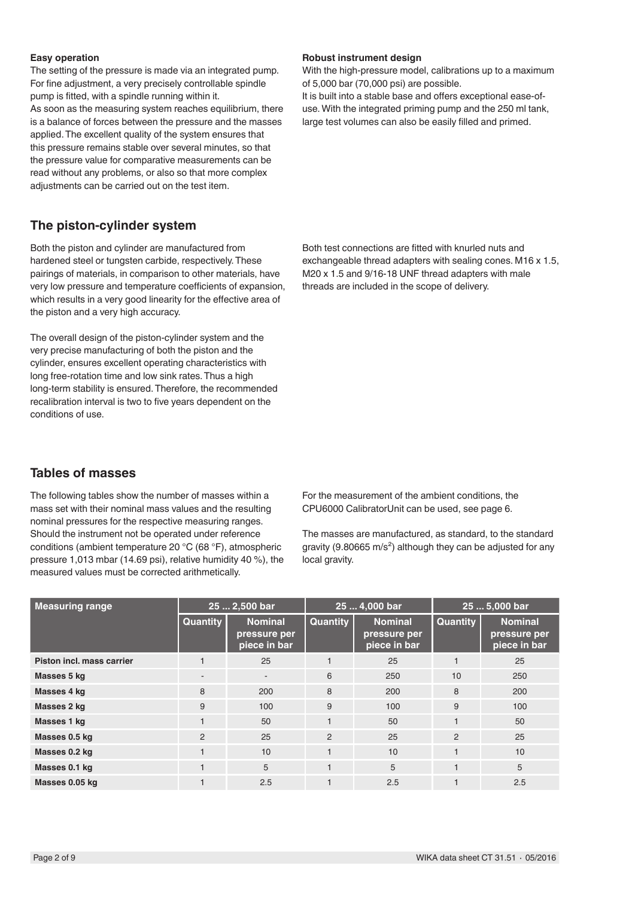#### **Easy operation**

The setting of the pressure is made via an integrated pump. For fine adjustment, a very precisely controllable spindle pump is fitted, with a spindle running within it. As soon as the measuring system reaches equilibrium, there is a balance of forces between the pressure and the masses applied. The excellent quality of the system ensures that this pressure remains stable over several minutes, so that the pressure value for comparative measurements can be read without any problems, or also so that more complex adjustments can be carried out on the test item.

### **The piston-cylinder system**

Both the piston and cylinder are manufactured from hardened steel or tungsten carbide, respectively. These pairings of materials, in comparison to other materials, have very low pressure and temperature coefficients of expansion, which results in a very good linearity for the effective area of the piston and a very high accuracy.

The overall design of the piston-cylinder system and the very precise manufacturing of both the piston and the cylinder, ensures excellent operating characteristics with long free-rotation time and low sink rates. Thus a high long-term stability is ensured. Therefore, the recommended recalibration interval is two to five years dependent on the conditions of use.

### **Tables of masses**

The following tables show the number of masses within a mass set with their nominal mass values and the resulting nominal pressures for the respective measuring ranges. Should the instrument not be operated under reference conditions (ambient temperature 20 °C (68 °F), atmospheric pressure 1,013 mbar (14.69 psi), relative humidity 40 %), the measured values must be corrected arithmetically.

**Robust instrument design**

With the high-pressure model, calibrations up to a maximum of 5,000 bar (70,000 psi) are possible.

It is built into a stable base and offers exceptional ease-ofuse. With the integrated priming pump and the 250 ml tank, large test volumes can also be easily filled and primed.

Both test connections are fitted with knurled nuts and exchangeable thread adapters with sealing cones. M16 x 1.5, M20 x 1.5 and 9/16-18 UNF thread adapters with male threads are included in the scope of delivery.

For the measurement of the ambient conditions, the CPU6000 CalibratorUnit can be used, see page 6.

The masses are manufactured, as standard, to the standard gravity (9.80665 m/s<sup>2</sup>) although they can be adjusted for any local gravity.

| Measuring range           | 25  2,500 bar            |                                                | 25  4,000 bar   |                                                | 25  5,000 bar |                                                |
|---------------------------|--------------------------|------------------------------------------------|-----------------|------------------------------------------------|---------------|------------------------------------------------|
|                           | <b>Quantity</b>          | <b>Nominal</b><br>pressure per<br>piece in bar | <b>Quantity</b> | <b>Nominal</b><br>pressure per<br>piece in bar | Quantity      | <b>Nominal</b><br>pressure per<br>piece in bar |
| Piston incl. mass carrier |                          | 25                                             |                 | 25                                             |               | 25                                             |
| Masses 5 kg               | $\overline{\phantom{a}}$ | ۰                                              | 6               | 250                                            | 10            | 250                                            |
| Masses 4 kg               | 8                        | 200                                            | 8               | 200                                            | 8             | 200                                            |
| Masses 2 kg               | 9                        | 100                                            | 9               | 100                                            | 9             | 100                                            |
| Masses 1 kg               |                          | 50                                             |                 | 50                                             |               | 50                                             |
| Masses 0.5 kg             | 2                        | 25                                             | 2               | 25                                             | 2             | 25                                             |
| Masses 0.2 kg             |                          | 10                                             |                 | 10                                             |               | 10                                             |
| Masses 0.1 kg             |                          | 5                                              |                 | 5                                              |               | 5                                              |
| Masses 0.05 kg            |                          | 2.5                                            |                 | 2.5                                            |               | 2.5                                            |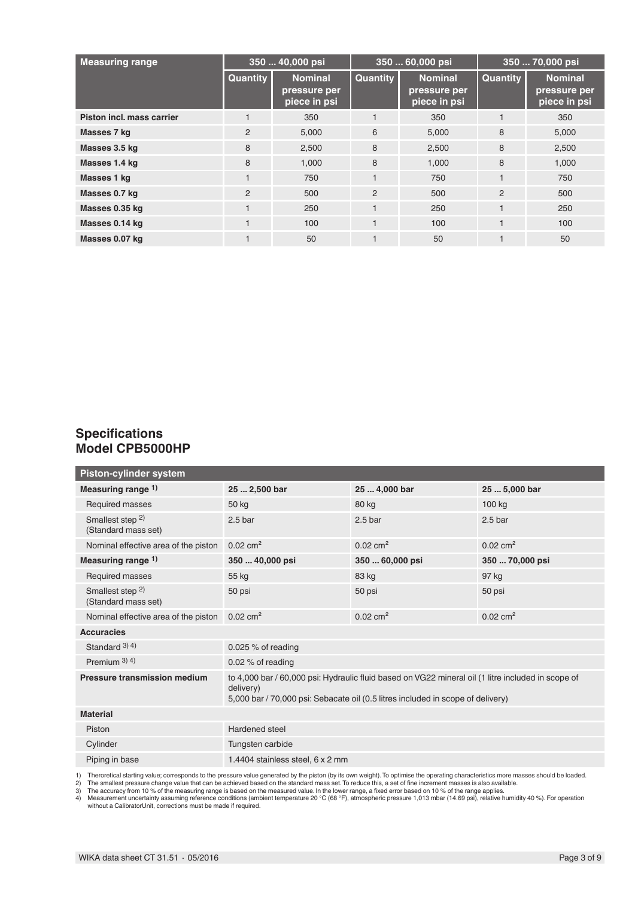| <b>Measuring range</b>    | 350  40,000 psi |                                                | 350  60,000 psi |                                                | 350  70,000 psi |                                                |
|---------------------------|-----------------|------------------------------------------------|-----------------|------------------------------------------------|-----------------|------------------------------------------------|
|                           | <b>Quantity</b> | <b>Nominal</b><br>pressure per<br>piece in psi | <b>Quantity</b> | <b>Nominal</b><br>pressure per<br>piece in psi | Quantity        | <b>Nominal</b><br>pressure per<br>piece in psi |
| Piston incl. mass carrier |                 | 350                                            |                 | 350                                            |                 | 350                                            |
| Masses 7 kg               | $\overline{2}$  | 5,000                                          | 6               | 5,000                                          | 8               | 5,000                                          |
| Masses 3.5 kg             | 8               | 2,500                                          | 8               | 2,500                                          | 8               | 2,500                                          |
| Masses 1.4 kg             | 8               | 1,000                                          | 8               | 1,000                                          | 8               | 1,000                                          |
| Masses 1 kg               |                 | 750                                            |                 | 750                                            |                 | 750                                            |
| Masses 0.7 kg             | $\overline{2}$  | 500                                            | $\overline{2}$  | 500                                            | 2               | 500                                            |
| Masses 0.35 kg            |                 | 250                                            |                 | 250                                            |                 | 250                                            |
| Masses 0.14 kg            |                 | 100                                            |                 | 100                                            |                 | 100                                            |
| Masses 0.07 kg            |                 | 50                                             |                 | 50                                             |                 | 50                                             |

## **Specifications Model CPB5000HP**

| Piston-cylinder system                             |                                                                                                                                                                                                    |                     |                     |
|----------------------------------------------------|----------------------------------------------------------------------------------------------------------------------------------------------------------------------------------------------------|---------------------|---------------------|
| Measuring range 1)                                 | 25  2,500 bar                                                                                                                                                                                      | 25  4,000 bar       | 25  5,000 bar       |
| Required masses                                    | 50 kg                                                                                                                                                                                              | 80 kg               | 100 kg              |
| Smallest step <sup>2)</sup><br>(Standard mass set) | 2.5 <sub>bar</sub>                                                                                                                                                                                 | 2.5 <sub>bar</sub>  | 2.5 <sub>bar</sub>  |
| Nominal effective area of the piston               | $0.02 \text{ cm}^2$                                                                                                                                                                                | $0.02 \text{ cm}^2$ | $0.02 \text{ cm}^2$ |
| Measuring range $1$ )                              | 350  40,000 psi                                                                                                                                                                                    | 350  60,000 psi     | 350  70,000 psi     |
| Required masses                                    | 55 kg                                                                                                                                                                                              | 83 kg               | 97 kg               |
| Smallest step <sup>2)</sup><br>(Standard mass set) | 50 psi                                                                                                                                                                                             | 50 psi              | 50 psi              |
| Nominal effective area of the piston               | $0.02 \text{ cm}^2$                                                                                                                                                                                | $0.02 \text{ cm}^2$ | $0.02 \text{ cm}^2$ |
| <b>Accuracies</b>                                  |                                                                                                                                                                                                    |                     |                     |
| Standard $3)$ 4)                                   | 0.025 $%$ of reading                                                                                                                                                                               |                     |                     |
| Premium $3(4)$                                     | 0.02 $%$ of reading                                                                                                                                                                                |                     |                     |
| Pressure transmission medium                       | to 4,000 bar / 60,000 psi: Hydraulic fluid based on VG22 mineral oil (1 litre included in scope of<br>delivery)<br>5,000 bar / 70,000 psi: Sebacate oil (0.5 litres included in scope of delivery) |                     |                     |
| <b>Material</b>                                    |                                                                                                                                                                                                    |                     |                     |
| Piston                                             | Hardened steel                                                                                                                                                                                     |                     |                     |
| Cylinder                                           | Tungsten carbide                                                                                                                                                                                   |                     |                     |
| Piping in base                                     | 1.4404 stainless steel, 6 x 2 mm                                                                                                                                                                   |                     |                     |

1) Theroretical starting value; corresponds to the pressure value generated by the piston (by its own weight). To optimise the operating characteristics more masses should be loaded.<br>2) The smallest pressure change value t without a CalibratorUnit, corrections must be made if required.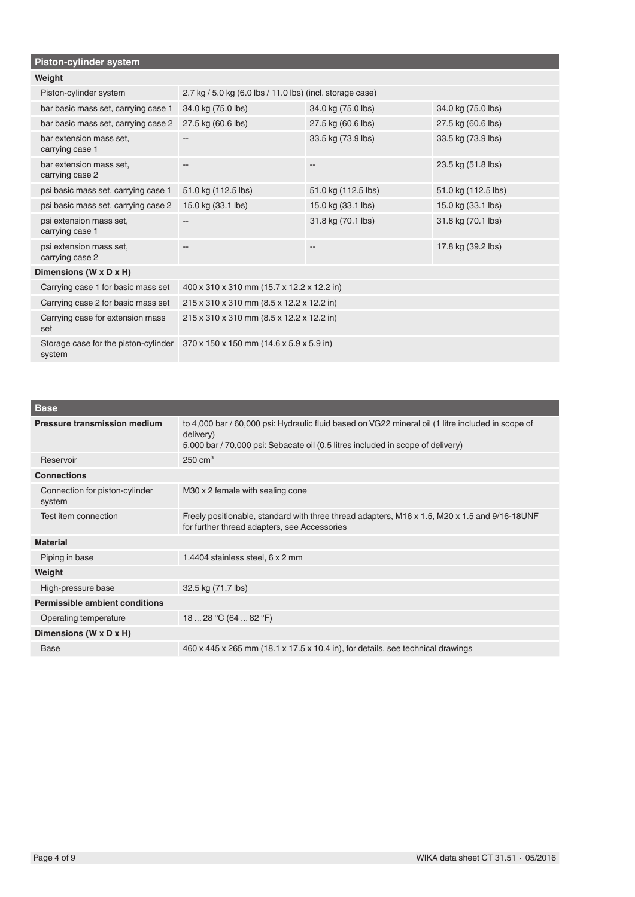| Piston-cylinder system                         |                                                           |                     |                     |
|------------------------------------------------|-----------------------------------------------------------|---------------------|---------------------|
| Weight                                         |                                                           |                     |                     |
| Piston-cylinder system                         | 2.7 kg / 5.0 kg (6.0 lbs / 11.0 lbs) (incl. storage case) |                     |                     |
| bar basic mass set, carrying case 1            | 34.0 kg (75.0 lbs)                                        | 34.0 kg (75.0 lbs)  | 34.0 kg (75.0 lbs)  |
| bar basic mass set, carrying case 2            | 27.5 kg (60.6 lbs)                                        | 27.5 kg (60.6 lbs)  | 27.5 kg (60.6 lbs)  |
| bar extension mass set,<br>carrying case 1     |                                                           | 33.5 kg (73.9 lbs)  | 33.5 kg (73.9 lbs)  |
| bar extension mass set,<br>carrying case 2     | $- -$                                                     | --                  | 23.5 kg (51.8 lbs)  |
| psi basic mass set, carrying case 1            | 51.0 kg (112.5 lbs)                                       | 51.0 kg (112.5 lbs) | 51.0 kg (112.5 lbs) |
| psi basic mass set, carrying case 2            | 15.0 kg (33.1 lbs)                                        | 15.0 kg (33.1 lbs)  | 15.0 kg (33.1 lbs)  |
| psi extension mass set,<br>carrying case 1     |                                                           | 31.8 kg (70.1 lbs)  | 31.8 kg (70.1 lbs)  |
| psi extension mass set,<br>carrying case 2     |                                                           | --                  | 17.8 kg (39.2 lbs)  |
| Dimensions (W x D x H)                         |                                                           |                     |                     |
| Carrying case 1 for basic mass set             | 400 x 310 x 310 mm (15.7 x 12.2 x 12.2 in)                |                     |                     |
| Carrying case 2 for basic mass set             | 215 x 310 x 310 mm (8.5 x 12.2 x 12.2 in)                 |                     |                     |
| Carrying case for extension mass<br>set        | 215 x 310 x 310 mm (8.5 x 12.2 x 12.2 in)                 |                     |                     |
| Storage case for the piston-cylinder<br>system | 370 x 150 x 150 mm (14.6 x 5.9 x 5.9 in)                  |                     |                     |

| <b>Base</b>                              |                                                                                                                                                                                                    |
|------------------------------------------|----------------------------------------------------------------------------------------------------------------------------------------------------------------------------------------------------|
| Pressure transmission medium             | to 4,000 bar / 60,000 psi: Hydraulic fluid based on VG22 mineral oil (1 litre included in scope of<br>delivery)<br>5,000 bar / 70,000 psi: Sebacate oil (0.5 litres included in scope of delivery) |
| Reservoir                                | $250 \text{ cm}^3$                                                                                                                                                                                 |
| <b>Connections</b>                       |                                                                                                                                                                                                    |
| Connection for piston-cylinder<br>system | M30 x 2 female with sealing cone                                                                                                                                                                   |
| Test item connection                     | Freely positionable, standard with three thread adapters, M16 x 1.5, M20 x 1.5 and 9/16-18UNF<br>for further thread adapters, see Accessories                                                      |
| <b>Material</b>                          |                                                                                                                                                                                                    |
| Piping in base                           | 1.4404 stainless steel, 6 x 2 mm                                                                                                                                                                   |
| Weight                                   |                                                                                                                                                                                                    |
| High-pressure base                       | 32.5 kg (71.7 lbs)                                                                                                                                                                                 |
| Permissible ambient conditions           |                                                                                                                                                                                                    |
| Operating temperature                    | 18  28 °C (64  82 °F)                                                                                                                                                                              |
| Dimensions (W x D x H)                   |                                                                                                                                                                                                    |
| <b>Base</b>                              | $460 \times 445 \times 265$ mm (18.1 x 17.5 x 10.4 in), for details, see technical drawings                                                                                                        |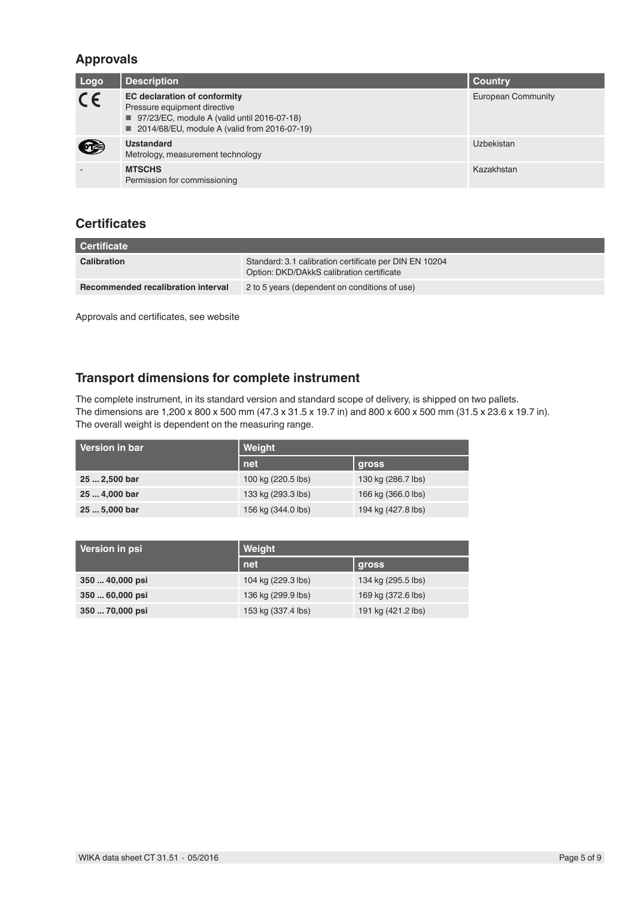## **Approvals**

| Logo    | <b>Description</b>                                                                                                                                                     | <b>Country</b>            |
|---------|------------------------------------------------------------------------------------------------------------------------------------------------------------------------|---------------------------|
| $C \in$ | <b>EC declaration of conformity</b><br>Pressure equipment directive<br>■ 97/23/EC, module A (valid until 2016-07-18)<br>■ 2014/68/EU, module A (valid from 2016-07-19) | <b>European Community</b> |
| œ       | <b>Uzstandard</b><br>Metrology, measurement technology                                                                                                                 | Uzbekistan                |
|         | <b>MTSCHS</b><br>Permission for commissioning                                                                                                                          | Kazakhstan                |

## **Certificates**

| Certificate                        |                                                                                                     |
|------------------------------------|-----------------------------------------------------------------------------------------------------|
| <b>Calibration</b>                 | Standard: 3.1 calibration certificate per DIN EN 10204<br>Option: DKD/DAkkS calibration certificate |
| Recommended recalibration interval | 2 to 5 years (dependent on conditions of use)                                                       |

Approvals and certificates, see website

## **Transport dimensions for complete instrument**

The complete instrument, in its standard version and standard scope of delivery, is shipped on two pallets. The dimensions are 1,200 x 800 x 500 mm (47.3 x 31.5 x 19.7 in) and 800 x 600 x 500 mm (31.5 x 23.6 x 19.7 in). The overall weight is dependent on the measuring range.

| Version in bar | Weight             |                    |
|----------------|--------------------|--------------------|
|                | net                | gross              |
| 25  2,500 bar  | 100 kg (220.5 lbs) | 130 kg (286.7 lbs) |
| 25  4,000 bar  | 133 kg (293.3 lbs) | 166 kg (366.0 lbs) |
| 25  5,000 bar  | 156 kg (344.0 lbs) | 194 kg (427.8 lbs) |

| Version in psi  | Weight             |                    |  |
|-----------------|--------------------|--------------------|--|
|                 | net                | gross              |  |
| 350  40,000 psi | 104 kg (229.3 lbs) | 134 kg (295.5 lbs) |  |
| 350  60,000 psi | 136 kg (299.9 lbs) | 169 kg (372.6 lbs) |  |
| 350  70,000 psi | 153 kg (337.4 lbs) | 191 kg (421.2 lbs) |  |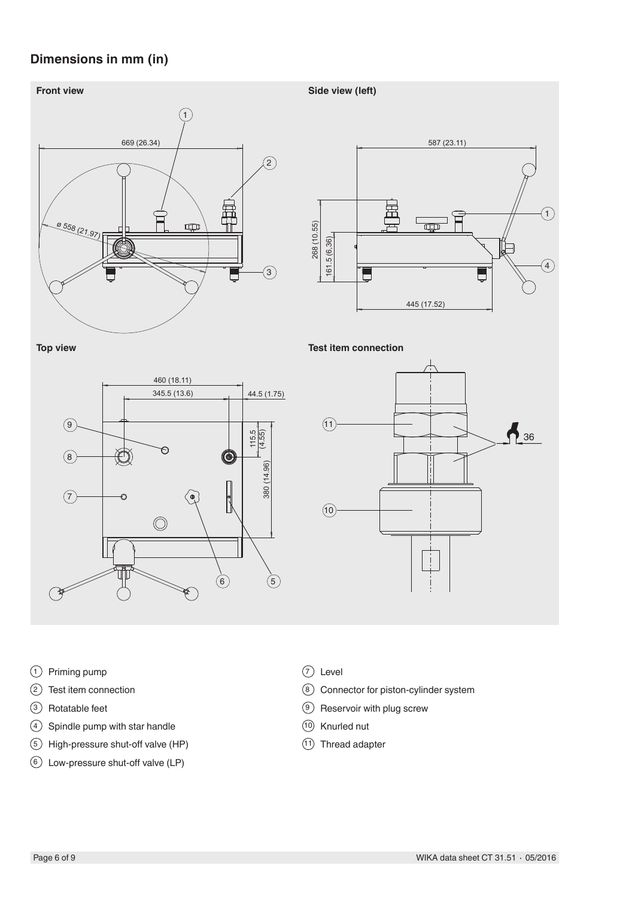## **Dimensions in mm (in)**



- Priming pump
- Test item connection
- Rotatable feet
- Spindle pump with star handle
- High-pressure shut-off valve (HP)
- Low-pressure shut-off valve (LP)
- Level
- Connector for piston-cylinder system
- Reservoir with plug screw
- Knurled nut
- Thread adapter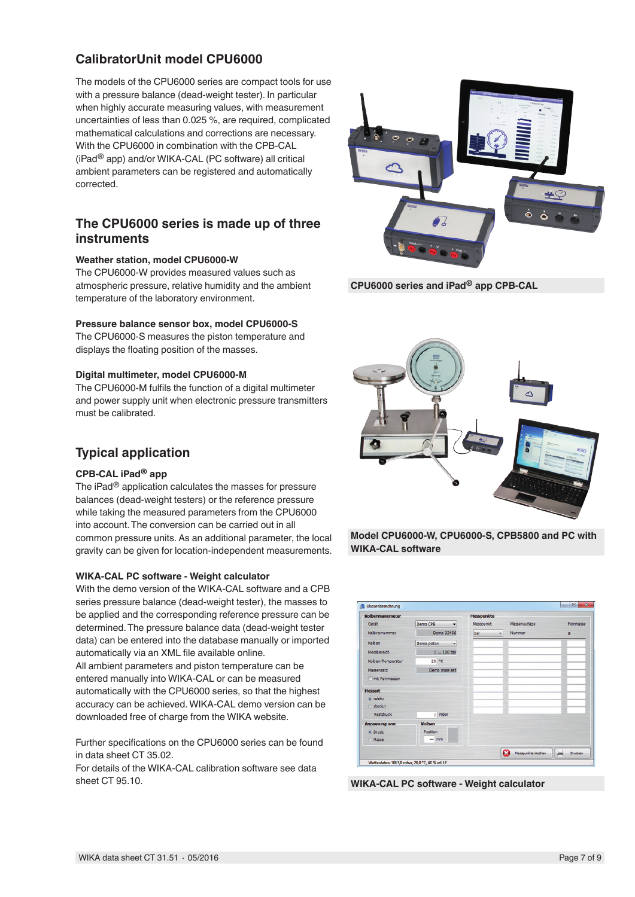## **CalibratorUnit model CPU6000**

The models of the CPU6000 series are compact tools for use with a pressure balance (dead-weight tester). In particular when highly accurate measuring values, with measurement uncertainties of less than 0.025 %, are required, complicated mathematical calculations and corrections are necessary. With the CPU6000 in combination with the CPB-CAL (iPad® app) and/or WIKA-CAL (PC software) all critical ambient parameters can be registered and automatically corrected.

### **The CPU6000 series is made up of three instruments**

### **Weather station, model CPU6000-W**

The CPU6000-W provides measured values such as atmospheric pressure, relative humidity and the ambient temperature of the laboratory environment.

### **Pressure balance sensor box, model CPU6000-S**

The CPU6000-S measures the piston temperature and displays the floating position of the masses.

### **Digital multimeter, model CPU6000-M**

The CPU6000-M fulfils the function of a digital multimeter and power supply unit when electronic pressure transmitters must be calibrated.

## **Typical application**

### **CPB-CAL iPad® app**

The iPad® application calculates the masses for pressure balances (dead-weight testers) or the reference pressure while taking the measured parameters from the CPU6000 into account. The conversion can be carried out in all common pressure units. As an additional parameter, the local gravity can be given for location-independent measurements.

### **WIKA-CAL PC software - Weight calculator**

With the demo version of the WIKA-CAL software and a CPB series pressure balance (dead-weight tester), the masses to be applied and the corresponding reference pressure can be determined. The pressure balance data (dead-weight tester data) can be entered into the database manually or imported automatically via an XML file available online. All ambient parameters and piston temperature can be entered manually into WIKA-CAL or can be measured automatically with the CPU6000 series, so that the highest accuracy can be achieved. WIKA-CAL demo version can be downloaded free of charge from the WIKA website.

Further specifications on the CPU6000 series can be found in data sheet CT 35.02.

For details of the WIKA-CAL calibration software see data sheet CT 95.10.



**CPU6000 series and iPad® app CPB-CAL**



**Model CPU6000-W, CPU6000-S, CPB5800 and PC with WIKA-CAL software**

| Kolbenmanometer  |                                      | <b>Messpunkte</b> |                         |              |
|------------------|--------------------------------------|-------------------|-------------------------|--------------|
| Gerät            | Demo CPB<br>$\overline{\phantom{a}}$ | Messpunkt         | Massenauflage           | Feinmasse    |
| Kalbriernummer   | Demo 23456                           | bar -             | Nummer                  | $\mathsf{Q}$ |
| Koben            | Demo piston<br>٠                     |                   |                         |              |
| Messbereich      | 1  100 bar                           |                   |                         |              |
| Koben-Temperatur | 20 °C                                |                   |                         |              |
| Massensatz       | Demo mass set                        |                   |                         |              |
| mit Feinmassen   |                                      |                   |                         |              |
| <b>Messart</b>   |                                      |                   |                         |              |
| o relativ        |                                      |                   |                         |              |
| absolut          |                                      |                   |                         |              |
| Restdruck        | o mbar                               |                   |                         |              |
| Anpassung von    | Kolben                               |                   |                         |              |
| o Druck          | Position                             |                   |                         |              |
| <b>Masse</b>     | $-$ mm                               |                   |                         |              |
|                  |                                      |                   | œ<br>Messpunkte löschen | Drucken      |

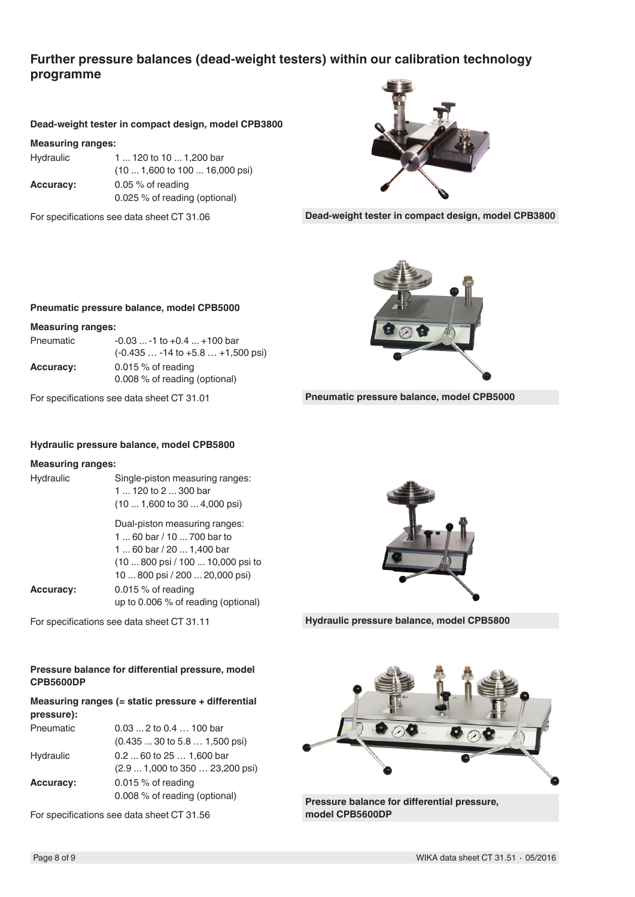### **Further pressure balances (dead-weight testers) within our calibration technology programme**

### **Dead-weight tester in compact design, model CPB3800**

#### **Measuring ranges:**

Hydraulic 1 ... 120 to 10 ... 1,200 bar (10 ... 1,600 to 100 ... 16,000 psi) **Accuracy:** 0.05 % of reading 0.025 % of reading (optional)

For specifications see data sheet CT 31.06



**Dead-weight tester in compact design, model CPB3800**



**Pneumatic pressure balance, model CPB5000**

### **Pneumatic pressure balance, model CPB5000**

#### **Measuring ranges:**

| Pneumatic        | $-0.03$ $-1$ to $+0.4$ $+100$ bar   |
|------------------|-------------------------------------|
|                  | $(-0.435 -14$ to $+5.8 +1,500$ psi) |
| <b>Accuracy:</b> | 0.015 $%$ of reading                |
|                  | 0.008 % of reading (optional)       |

For specifications see data sheet CT 31.01

#### **Hydraulic pressure balance, model CPB5800**

#### **Measuring ranges:**

| Hydraulic            | Single-piston measuring ranges:<br>1  120 to 2  300 bar<br>$(101,600 \text{ to } 304,000 \text{ psi})$                                                        |
|----------------------|---------------------------------------------------------------------------------------------------------------------------------------------------------------|
|                      | Dual-piston measuring ranges:<br>1  60 bar / 10  700 bar to<br>160 bar / 20  1,400 bar<br>(10  800 psi / 100  10,000 psi to<br>10  800 psi / 200  20,000 psi) |
| <b>A</b> – – – – – – | $\bigcap A \subset \bigcap A$ $\bigcap A$ $\bigcap A$                                                                                                         |

**Accuracy:** 0.015 % of reading up to 0.006 % of reading (optional)

For specifications see data sheet CT 31.11

### **Pressure balance for differential pressure, model CPB5600DP**

### **Measuring ranges (= static pressure + differential pressure):**

| Pneumatic        | $0.03$ 2 to $0.4$ 100 bar                       |
|------------------|-------------------------------------------------|
|                  | $(0.43530 \text{ to } 5.81,500 \text{ psi})$    |
| Hydraulic        | $0.260$ to $251,600$ bar                        |
|                  | $(2.91,000 \text{ to } 350 23,200 \text{ psi})$ |
| <b>Accuracy:</b> | 0.015 $%$ of reading                            |
|                  | 0.008 % of reading (optional)                   |
|                  |                                                 |

For specifications see data sheet CT 31.56



**Hydraulic pressure balance, model CPB5800**



**Pressure balance for differential pressure, model CPB5600DP**